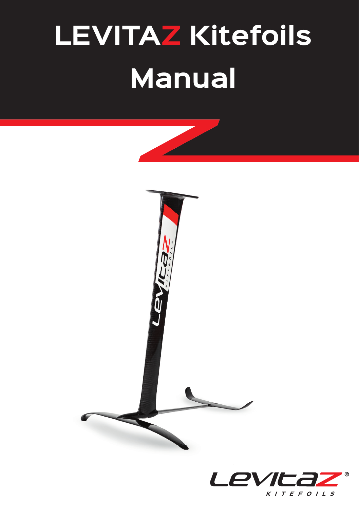# **LEVITAZ Kitefoils Manual**





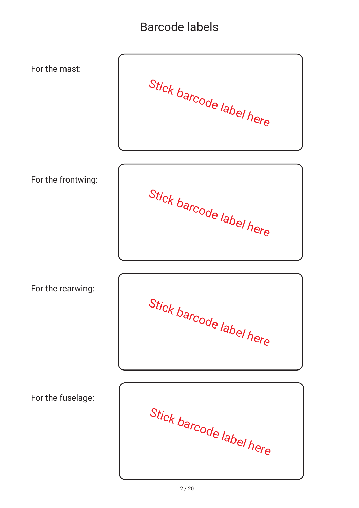## Barcode labels

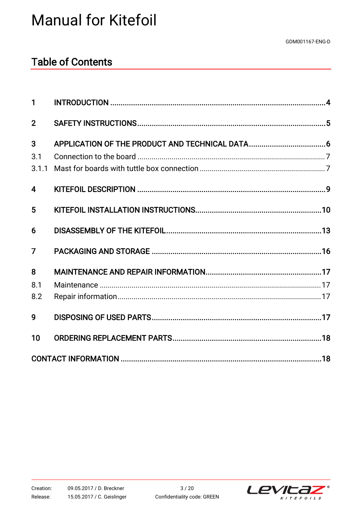## **Manual for Kitefoil**

## **Table of Contents**

| 1              |  |
|----------------|--|
| $\mathbf{2}$   |  |
| 3              |  |
| 3.1            |  |
| 3.1.1          |  |
| 4              |  |
| 5              |  |
| 6              |  |
| $\overline{7}$ |  |
| 8              |  |
| 8.1            |  |
| 8.2            |  |
| 9              |  |
| 10             |  |
|                |  |

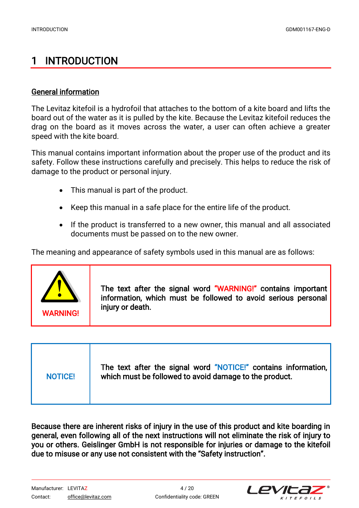## <span id="page-3-0"></span>1 INTRODUCTION

#### General information

The Levitaz kitefoil is a hydrofoil that attaches to the bottom of a kite board and lifts the board out of the water as it is pulled by the kite. Because the Levitaz kitefoil reduces the drag on the board as it moves across the water, a user can often achieve a greater speed with the kite board.

This manual contains important information about the proper use of the product and its safety. Follow these instructions carefully and precisely. This helps to reduce the risk of damage to the product or personal injury.

- This manual is part of the product.
- x Keep this manual in a safe place for the entire life of the product.
- If the product is transferred to a new owner, this manual and all associated documents must be passed on to the new owner.

The meaning and appearance of safety symbols used in this manual are as follows:



The text after the signal word "WARNING!" contains important information, which must be followed to avoid serious personal

| <b>NOTICE!</b> | The text after the signal word "NOTICE!" contains information,  <br>which must be followed to avoid damage to the product. |
|----------------|----------------------------------------------------------------------------------------------------------------------------|
|----------------|----------------------------------------------------------------------------------------------------------------------------|

Because there are inherent risks of injury in the use of this product and kite boarding in general, even following all of the next instructions will not eliminate the risk of injury to you or others. Geislinger GmbH is not responsible for injuries or damage to the kitefoil due to misuse or any use not consistent with the "Safety instruction".

Manufacturer: LEVITAZ 4 / 20 Contact: [office@levitaz.com](mailto:office@levitaz.com) Confidentiality code: GREEN

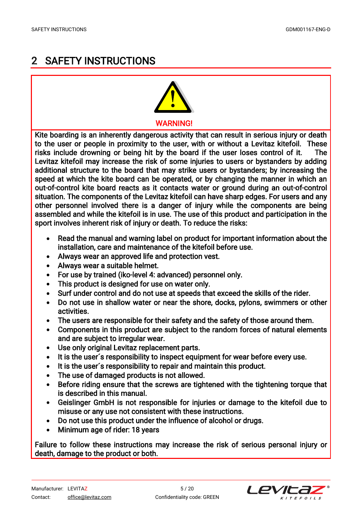## <span id="page-4-0"></span>2 SAFETY INSTRUCTIONS



Kite boarding is an inherently dangerous activity that can result in serious injury or death to the user or people in proximity to the user, with or without a Levitaz kitefoil. These risks include drowning or being hit by the board if the user loses control of it. The Levitaz kitefoil may increase the risk of some injuries to users or bystanders by adding additional structure to the board that may strike users or bystanders; by increasing the speed at which the kite board can be operated, or by changing the manner in which an out-of-control kite board reacts as it contacts water or ground during an out-of-control situation. The components of the Levitaz kitefoil can have sharp edges. For users and any other personnel involved there is a danger of injury while the components are being assembled and while the kitefoil is in use. The use of this product and participation in the sport involves inherent risk of injury or death. To reduce the risks:

- x Read the manual and warning label on product for important information about the installation, care and maintenance of the kitefoil before use.
- Always wear an approved life and protection vest.
- Always wear a suitable helmet.
- For use by trained (iko-level 4: advanced) personnel only.
- This product is designed for use on water only.
- Surf under control and do not use at speeds that exceed the skills of the rider.
- Do not use in shallow water or near the shore, docks, pylons, swimmers or other activities.
- The users are responsible for their safety and the safety of those around them.
- x Components in this product are subject to the random forces of natural elements and are subject to irregular wear.
- Use only original Levitaz replacement parts.
- It is the user's responsibility to inspect equipment for wear before every use.
- It is the user's responsibility to repair and maintain this product.
- The use of damaged products is not allowed.
- Before riding ensure that the screws are tightened with the tightening torque that is described in this manual.
- x Geislinger GmbH is not responsible for injuries or damage to the kitefoil due to misuse or any use not consistent with these instructions.
- Do not use this product under the influence of alcohol or drugs.
- Minimum age of rider: 18 years

Failure to follow these instructions may increase the risk of serious personal injury or death, damage to the product or both.

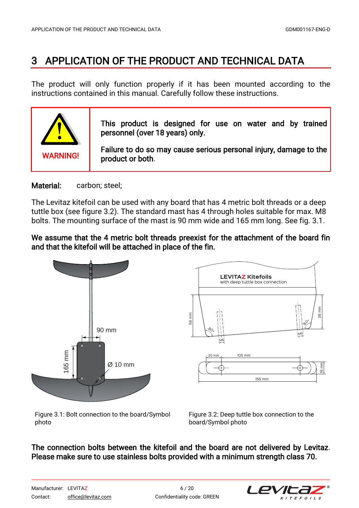## <span id="page-5-0"></span>3 APPLICATION OF THE PRODUCT AND TECHNICAL DATA

The product will only function properly if it has been mounted according to the instructions contained in this manual. Carefully follow these instructions.



#### Material: carbon: steel:

The Levitaz kitefoil can be used with any board that has 4 metric bolt threads or a deep tuttle box (see figure 3.2). The standard mast has 4 through holes suitable for max. M8 bolts. The mounting surface of the mast is 90 mm wide and 165 mm long. See fig. 3.1.

#### We assume that the 4 metric bolt threads preexist for the attachment of the board fin and that the kitefoil will be attached in place of the fin.



Figure 3.1: Bolt connection to the board/Symbol photo

Figure 3.2: Deep tuttle box connection to the board/Symbol photo

#### The connection bolts between the kitefoil and the board are not delivered by Levitaz. Please make sure to use stainless bolts provided with a minimum strength class 70.

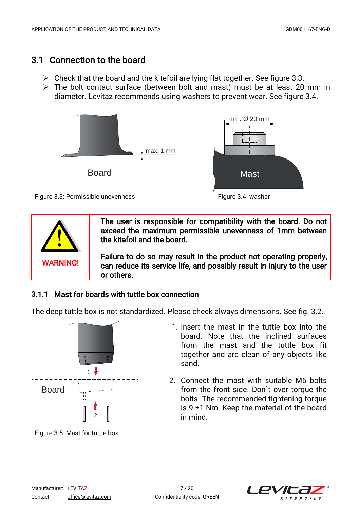## <span id="page-6-0"></span>3.1 Connection to the board

- $\triangleright$  Check that the board and the kitefoil are lying flat together. See figure 3.3.
- $\triangleright$  The bolt contact surface (between bolt and mast) must be at least 20 mm in diameter. Levitaz recommends using washers to prevent wear. See figure 3.4.







**WARNING!** 

The user is responsible for compatibility with the board. Do not exceed the maximum permissible unevenness of 1mm between the kitefoil and the board.

Failure to do so may result in the product not operating properly, can reduce its service life, and possibly result in injury to the user or others.

### 3.1.1 Mast for boards with tuttle box connection

The deep tuttle box is not standardized. Please check always dimensions. See fig. 3.2.



Figure 3.5: Mast for tuttle box

- 1. Insert the mast in the tuttle box into the board. Note that the inclined surfaces from the mast and the tuttle box fit together and are clean of any objects like sand.
- 2. Connect the mast with suitable M6 bolts from the front side. Don`t over torque the bolts. The recommended tightening torque is  $9 \pm 1$  Nm. Keep the material of the board in mind.

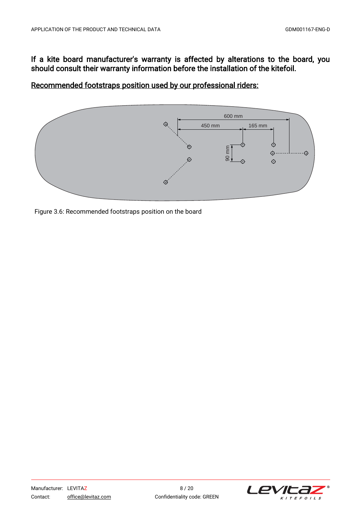#### If a kite board manufacturer's warranty is affected by alterations to the board, you should consult their warranty information before the installation of the kitefoil.

Recommended footstraps position used by our professional riders:



Figure 3.6: Recommended footstraps position on the board

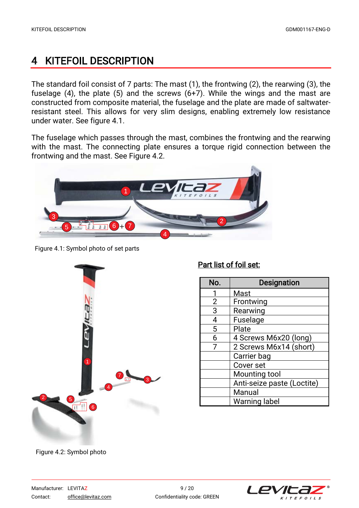## <span id="page-8-0"></span>4 KITEFOIL DESCRIPTION

The standard foil consist of 7 parts: The mast (1), the frontwing (2), the rearwing (3), the fuselage (4), the plate (5) and the screws (6+7). While the wings and the mast are constructed from composite material, the fuselage and the plate are made of saltwaterresistant steel. This allows for very slim designs, enabling extremely low resistance under water. See figure 4.1.

The fuselage which passes through the mast, combines the frontwing and the rearwing with the mast. The connecting plate ensures a torque rigid connection between the frontwing and the mast. See Figure 4.2.



Figure 4.1: Symbol photo of set parts



#### Part list of foil set:

| No.            | <b>Designation</b>         |
|----------------|----------------------------|
|                | Mast                       |
| $\overline{2}$ | Frontwing                  |
| 3              | Rearwing                   |
| 4              | Fuselage                   |
| 5              | Plate                      |
| 6              | 4 Screws M6x20 (long)      |
| 7              | 2 Screws M6x14 (short)     |
|                | Carrier bag                |
|                | Cover set                  |
|                | Mounting tool              |
|                | Anti-seize paste (Loctite) |
|                | Manual                     |
|                | Warning label              |

Figure 4.2: Symbol photo

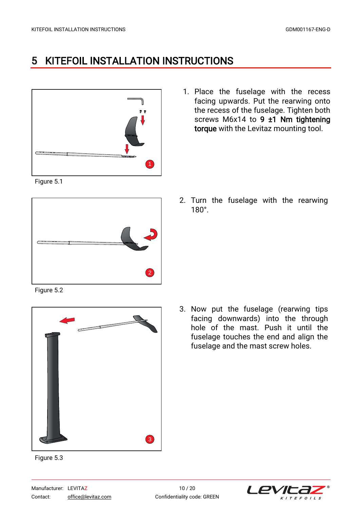## <span id="page-9-0"></span>5 KITEFOIL INSTALLATION INSTRUCTIONS



1. Place the fuselage with the recess facing upwards. Put the rearwing onto the recess of the fuselage. Tighten both screws M6x14 to  $9 \pm 1$  Nm tightening torque with the Levitaz mounting tool.

Figure 5.1



2. Turn the fuselage with the rearwing 180°.

Figure 5.2



Figure 5.3

3. Now put the fuselage (rearwing tips facing downwards) into the through hole of the mast. Push it until the fuselage touches the end and align the fuselage and the mast screw holes.

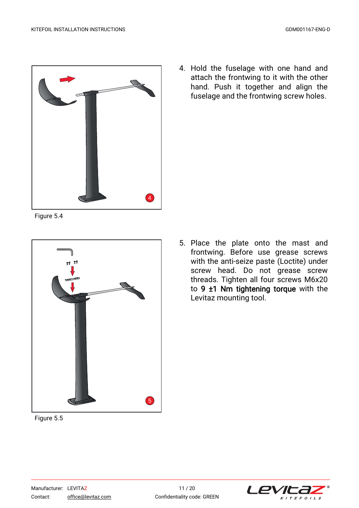

Figure 5.4



Figure 5.5

4. Hold the fuselage with one hand and attach the frontwing to it with the other hand. Push it together and align the fuselage and the frontwing screw holes.

5. Place the plate onto the mast and frontwing. Before use grease screws with the anti-seize paste (Loctite) under screw head. Do not grease screw threads. Tighten all four screws M6x20 to 9 ±1 Nm tightening torque with the Levitaz mounting tool.

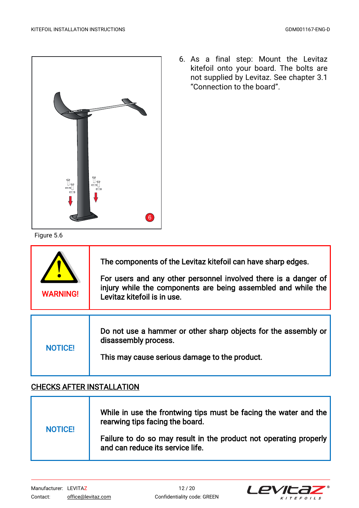

Figure 5.6

6. As a final step: Mount the Levitaz kitefoil onto your board. The bolts are not supplied by Levitaz. See chapter 3.1 "Connection to the board".

| <b>WARNING!</b> | The components of the Levitaz kitefoil can have sharp edges.<br>For users and any other personnel involved there is a danger of<br>injury while the components are being assembled and while the<br>Levitaz kitefoil is in use. |
|-----------------|---------------------------------------------------------------------------------------------------------------------------------------------------------------------------------------------------------------------------------|
| <b>NOTICE!</b>  | Do not use a hammer or other sharp objects for the assembly or<br>disassembly process.<br>This may cause serious damage to the product.                                                                                         |

#### CHECKS AFTER INSTALLATION

| <b>NOTICE!</b> | While in use the frontwing tips must be facing the water and the<br>rearwing tips facing the board.   |
|----------------|-------------------------------------------------------------------------------------------------------|
|                | Failure to do so may result in the product not operating properly<br>and can reduce its service life. |

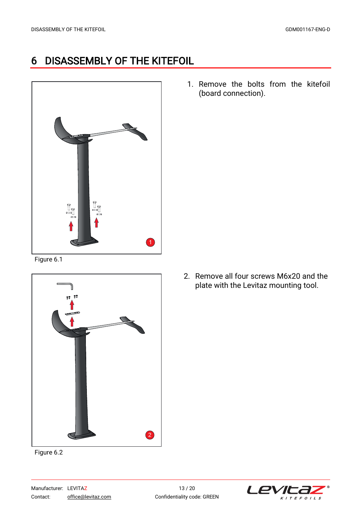## <span id="page-12-0"></span>6 DISASSEMBLY OF THE KITEFOIL



Figure 6.1



Figure 6.2

1. Remove the bolts from the kitefoil (board connection).

2. Remove all four screws M6x20 and the plate with the Levitaz mounting tool.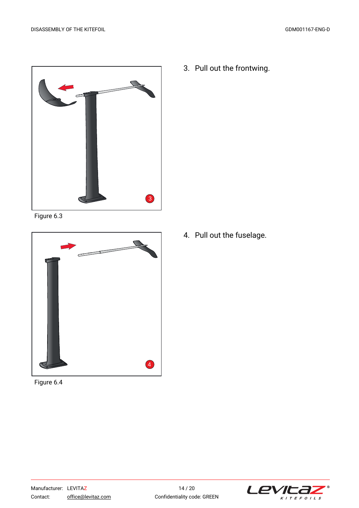

Figure 6.3



Figure 6.4

3. Pull out the frontwing.

4. Pull out the fuselage.

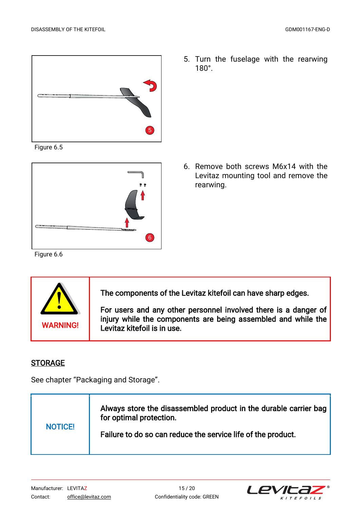

Figure 6.5



Figure 6.6



The components of the Levitaz kitefoil can have sharp edges.

For users and any other personnel involved there is a danger of injury while the components are being assembled and while the WARNING! Levitaz kitefoil is in use.

#### **STORAGE**

See chapter "Packaging and Storage".



5. Turn the fuselage with the rearwing 180°.

6. Remove both screws M6x14 with the Levitaz mounting tool and remove the rearwing.

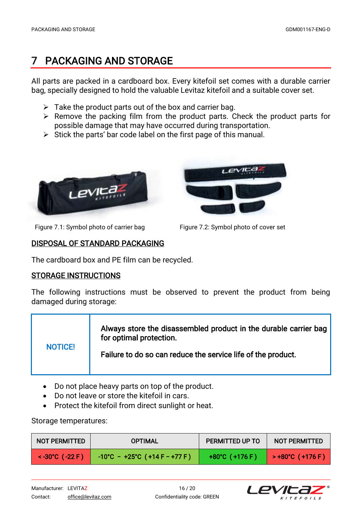## <span id="page-15-0"></span>7 PACKAGING AND STORAGE

All parts are packed in a cardboard box. Every kitefoil set comes with a durable carrier bag, specially designed to hold the valuable Levitaz kitefoil and a suitable cover set.

- $\triangleright$  Take the product parts out of the box and carrier bag.
- $\triangleright$  Remove the packing film from the product parts. Check the product parts for possible damage that may have occurred during transportation.
- $\triangleright$  Stick the parts' bar code label on the first page of this manual.





Figure 7.1: Symbol photo of carrier bag Figure 7.2: Symbol photo of cover set

#### DISPOSAL OF STANDARD PACKAGING

The cardboard box and PE film can be recycled.

#### STORAGE INSTRUCTIONS

The following instructions must be observed to prevent the product from being damaged during storage:

| <b>NOTICE!</b> | Always store the disassembled product in the durable carrier bag<br>for optimal protection. |
|----------------|---------------------------------------------------------------------------------------------|
|                | Failure to do so can reduce the service life of the product.                                |

- Do not place heavy parts on top of the product.
- Do not leave or store the kitefoil in cars.
- Protect the kitefoil from direct sunlight or heat.

Storage temperatures:

| <b>NOT PERMITTED</b> | <b>OPTIMAL</b>                          | PERMITTED UP TO          | <b>NOT PERMITTED</b> |
|----------------------|-----------------------------------------|--------------------------|----------------------|
| $<$ -30°C ( -22 F)   | $-10^{\circ}$ C - +25°C (+14 F - +77 F) | $+80^{\circ}$ C (+176 F) | > +80℃ (+176 F)      |

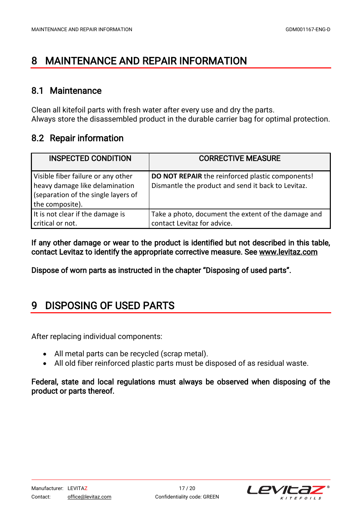## <span id="page-16-0"></span>8 MAINTENANCE AND REPAIR INFORMATION

#### 8.1 Maintenance

Clean all kitefoil parts with fresh water after every use and dry the parts. Always store the disassembled product in the durable carrier bag for optimal protection.

### 8.2 Repair information

| <b>INSPECTED CONDITION</b>                                                                                                     | <b>CORRECTIVE MEASURE</b>                                                                                     |
|--------------------------------------------------------------------------------------------------------------------------------|---------------------------------------------------------------------------------------------------------------|
| Visible fiber failure or any other<br>heavy damage like delamination<br>(separation of the single layers of<br>the composite). | <b>DO NOT REPAIR</b> the reinforced plastic components!<br>Dismantle the product and send it back to Levitaz. |
| It is not clear if the damage is<br>critical or not.                                                                           | Take a photo, document the extent of the damage and<br>contact Levitaz for advice.                            |

If any other damage or wear to the product is identified but not described in this table, contact Levitaz to identify the appropriate corrective measure. See www.levitaz.com

Dispose of worn parts as instructed in the chapter "Disposing of used parts".

## 9 DISPOSING OF USED PARTS

After replacing individual components:

- All metal parts can be recycled (scrap metal).
- All old fiber reinforced plastic parts must be disposed of as residual waste.

#### Federal, state and local regulations must always be observed when disposing of the product or parts thereof.

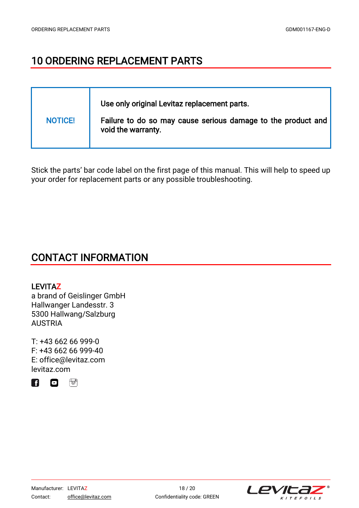## <span id="page-17-0"></span>10 ORDERING REPLACEMENT PARTS

| <b>NOTICE!</b> | Use only original Levitaz replacement parts.<br>Failure to do so may cause serious damage to the product and<br>void the warranty. |
|----------------|------------------------------------------------------------------------------------------------------------------------------------|
|----------------|------------------------------------------------------------------------------------------------------------------------------------|

Stick the parts' bar code label on the first page of this manual. This will help to speed up your order for replacement parts or any possible troubleshooting.

## CONTACT INFORMATION

#### LEVITAZ

a brand of Geislinger GmbH Hallwanger Landesstr. 3 5300 Hallwang/Salzburg **AUSTRIA** 

[T: +43 662 66 999-0](tel:+43662669990)  F: +43 662 66 999-40 [E: office@levitaz.com](mailto:office@levitaz.com)  [levitaz.com](https://levitaz.com/)